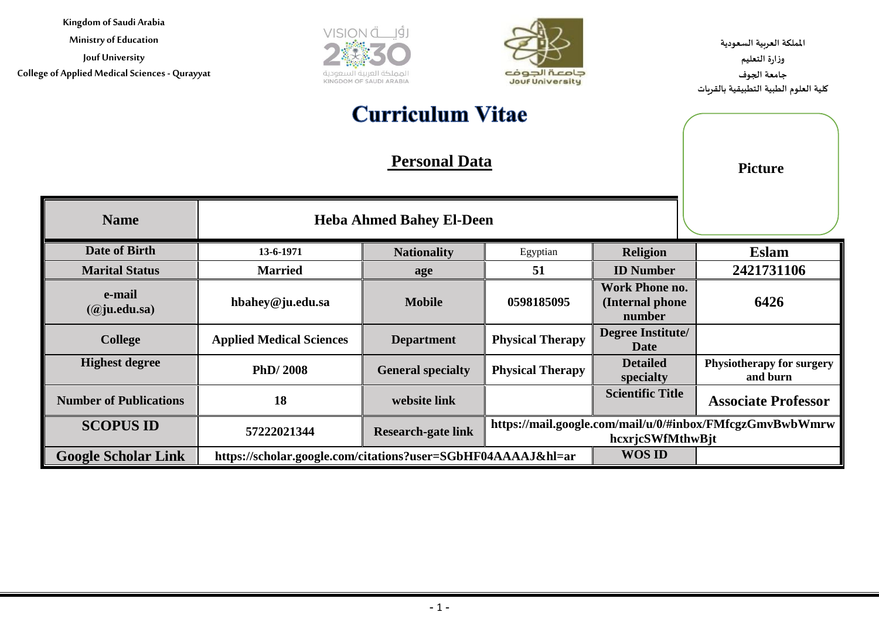**Ministry of Education**

**Jouf University College of Applied Medical Sciences - Qurayyat**





**اململكة العربية السعودية وزارة التعليم جامعة الجوف كلية العلوم الطبية التطبيقية بالقريات**

# **Curriculum Vitae**

**Personal Data**

**Picture**

| <b>Name</b>                   | <b>Heba Ahmed Bahey El-Deen</b>                              |                           |                                                                              |                                                     |                                              |
|-------------------------------|--------------------------------------------------------------|---------------------------|------------------------------------------------------------------------------|-----------------------------------------------------|----------------------------------------------|
| Date of Birth                 | 13-6-1971                                                    | <b>Nationality</b>        | Egyptian                                                                     | <b>Religion</b>                                     | <b>Eslam</b>                                 |
| <b>Marital Status</b>         | <b>Married</b>                                               | age                       | 51                                                                           | <b>ID Number</b>                                    | 2421731106                                   |
| e-mail<br>$(a)$ ju.edu.sa)    | hbahey@ju.edu.sa                                             | <b>Mobile</b>             | 0598185095                                                                   | <b>Work Phone no.</b><br>(Internal phone)<br>number | 6426                                         |
| <b>College</b>                | <b>Applied Medical Sciences</b>                              | <b>Department</b>         | <b>Physical Therapy</b>                                                      | Degree Institute/<br><b>Date</b>                    |                                              |
| <b>Highest degree</b>         | PhD/2008                                                     | <b>General specialty</b>  | <b>Physical Therapy</b>                                                      | <b>Detailed</b><br>specialty                        | <b>Physiotherapy for surgery</b><br>and burn |
| <b>Number of Publications</b> | 18                                                           | website link              |                                                                              | <b>Scientific Title</b>                             | <b>Associate Professor</b>                   |
| <b>SCOPUS ID</b>              | 57222021344                                                  | <b>Research-gate link</b> | https://mail.google.com/mail/u/0/#inbox/FMfcgzGmvBwbWmrw<br>hcxrjcSWfMthwBjt |                                                     |                                              |
| <b>Google Scholar Link</b>    | https://scholar.google.com/citations?user=SGbHF04AAAAJ&hl=ar |                           |                                                                              | <b>WOS ID</b>                                       |                                              |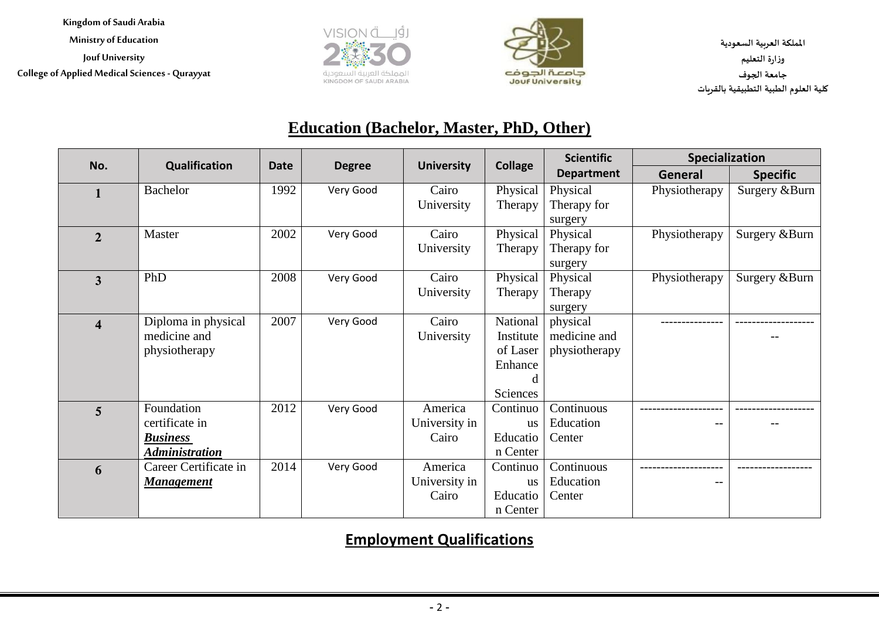**Ministry of Education**

**Jouf University**

**College of Applied Medical Sciences - Qurayyat**





**اململكة العربية السعودية وزارة التعليم جامعة الجوف كلية العلوم الطبية التطبيقية بالقريات**

## **Education (Bachelor, Master, PhD, Other)**

|                         |                       |             |               |                   |                | <b>Scientific</b> | <b>Specialization</b> |                 |
|-------------------------|-----------------------|-------------|---------------|-------------------|----------------|-------------------|-----------------------|-----------------|
| No.                     | Qualification         | <b>Date</b> | <b>Degree</b> | <b>University</b> | <b>Collage</b> | <b>Department</b> | <b>General</b>        | <b>Specific</b> |
| $\mathbf{1}$            | <b>Bachelor</b>       | 1992        | Very Good     | Cairo             | Physical       | Physical          | Physiotherapy         | Surgery &Burn   |
|                         |                       |             |               | University        | Therapy        | Therapy for       |                       |                 |
|                         |                       |             |               |                   |                | surgery           |                       |                 |
| $\overline{2}$          | Master                | 2002        | Very Good     | Cairo             | Physical       | Physical          | Physiotherapy         | Surgery &Burn   |
|                         |                       |             |               | University        | Therapy        | Therapy for       |                       |                 |
|                         |                       |             |               |                   |                | surgery           |                       |                 |
| $\overline{\mathbf{3}}$ | PhD                   | 2008        | Very Good     | Cairo             | Physical       | Physical          | Physiotherapy         | Surgery & Burn  |
|                         |                       |             |               | University        | Therapy        | Therapy           |                       |                 |
|                         |                       |             |               |                   |                | surgery           |                       |                 |
| $\overline{\mathbf{4}}$ | Diploma in physical   | 2007        | Very Good     | Cairo             | National       | physical          |                       |                 |
|                         | medicine and          |             |               | University        | Institute      | medicine and      |                       |                 |
|                         | physiotherapy         |             |               |                   | of Laser       | physiotherapy     |                       |                 |
|                         |                       |             |               |                   | Enhance        |                   |                       |                 |
|                         |                       |             |               |                   | d              |                   |                       |                 |
|                         |                       |             |               |                   | Sciences       |                   |                       |                 |
| 5                       | Foundation            | 2012        | Very Good     | America           | Continuo       | Continuous        |                       |                 |
|                         | certificate in        |             |               | University in     | <b>us</b>      | Education         |                       |                 |
|                         | <b>Business</b>       |             |               | Cairo             | Educatio       | Center            |                       |                 |
|                         | <b>Administration</b> |             |               |                   | n Center       |                   |                       |                 |
| 6                       | Career Certificate in | 2014        | Very Good     | America           | Continuo       | Continuous        |                       |                 |
|                         | <b>Management</b>     |             |               | University in     | <b>us</b>      | Education         |                       |                 |
|                         |                       |             |               | Cairo             | Educatio       | Center            |                       |                 |
|                         |                       |             |               |                   | n Center       |                   |                       |                 |

#### **Employment Qualifications**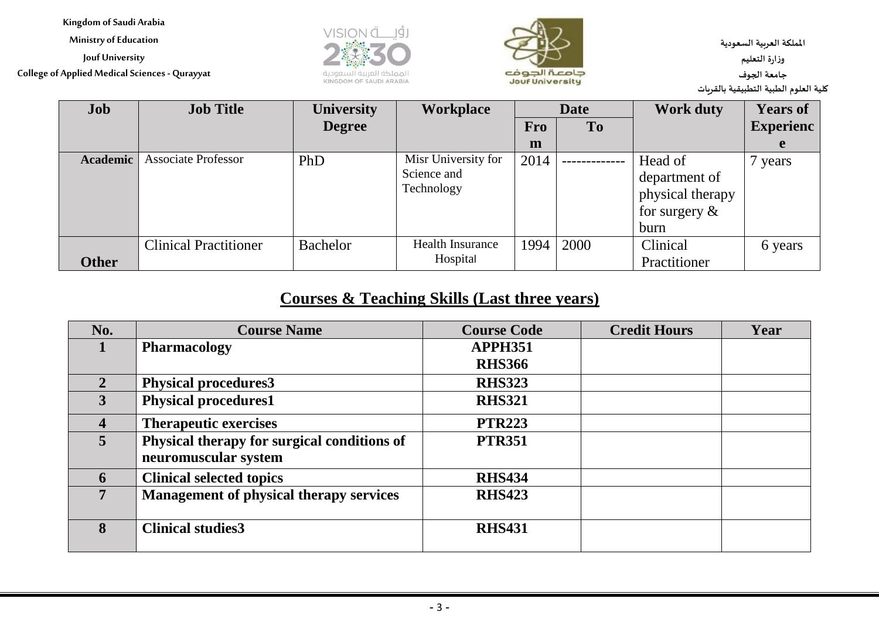**Ministry of Education**

**Jouf University**

**College of Applied Medical Sciences - Qurayyat**





**اململكة العربية السعودية وزارة التعليم جامعة الجوف كلية العلوم الطبية التطبيقية بالقريات**

| Job             | <b>Job Title</b>             | <b>University</b> | <b>Workplace</b>                                 |            | <b>Date</b> | <b>Work duty</b>                                                 | <b>Years of</b>  |
|-----------------|------------------------------|-------------------|--------------------------------------------------|------------|-------------|------------------------------------------------------------------|------------------|
|                 |                              | <b>Degree</b>     |                                                  | <b>Fro</b> | <b>To</b>   |                                                                  | <b>Experienc</b> |
|                 |                              |                   |                                                  | m          |             |                                                                  |                  |
| <b>Academic</b> | <b>Associate Professor</b>   | PhD               | Misr University for<br>Science and<br>Technology | 2014       |             | Head of<br>department of<br>physical therapy<br>for surgery $\&$ | 7 years          |
|                 | <b>Clinical Practitioner</b> | Bachelor          | <b>Health Insurance</b>                          | 1994       | 2000        | burn<br>Clinical                                                 | 6 years          |
| <b>Other</b>    |                              |                   | Hospital                                         |            |             | Practitioner                                                     |                  |

# **Courses & Teaching Skills (Last three years)**

| No.                     | <b>Course Name</b>                                                  | <b>Course Code</b> | <b>Credit Hours</b> | Year |
|-------------------------|---------------------------------------------------------------------|--------------------|---------------------|------|
|                         | <b>Pharmacology</b>                                                 | <b>APPH351</b>     |                     |      |
|                         |                                                                     | <b>RHS366</b>      |                     |      |
| $\overline{2}$          | <b>Physical procedures3</b>                                         | <b>RHS323</b>      |                     |      |
| 3                       | <b>Physical procedures1</b>                                         | <b>RHS321</b>      |                     |      |
| $\overline{\mathbf{4}}$ | <b>Therapeutic exercises</b>                                        | <b>PTR223</b>      |                     |      |
| $\overline{5}$          | Physical therapy for surgical conditions of<br>neuromuscular system | <b>PTR351</b>      |                     |      |
| 6                       | <b>Clinical selected topics</b>                                     | <b>RHS434</b>      |                     |      |
| 7                       | <b>Management of physical therapy services</b>                      | <b>RHS423</b>      |                     |      |
| 8                       | <b>Clinical studies3</b>                                            | <b>RHS431</b>      |                     |      |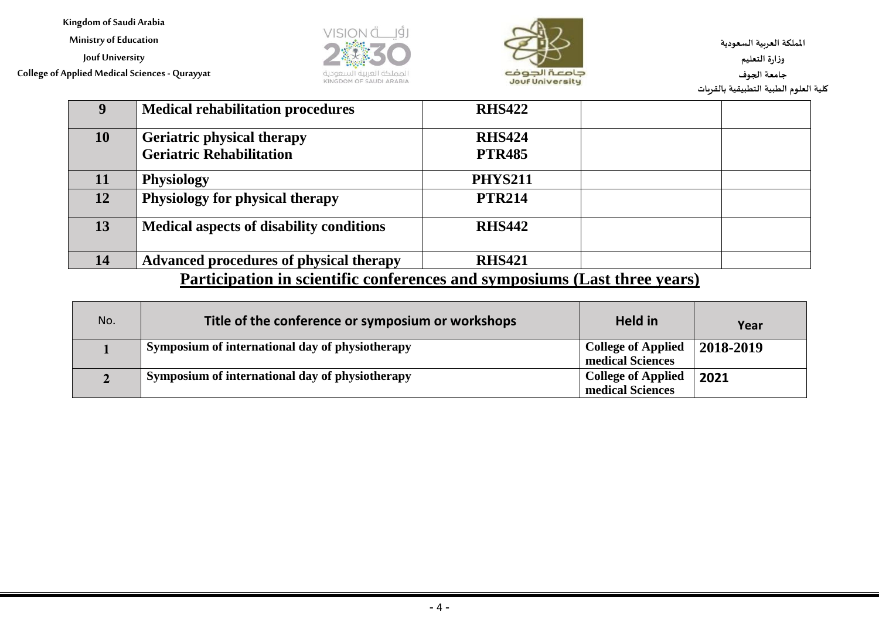**Ministry of Education**

**Jouf University**

**College of Applied Medical Sciences - Qurayyat**





**اململكة العربية السعودية وزارة التعليم جامعة الجوف كلية العلوم الطبية التطبيقية بالقريات**

|                                                                           | <b>Medical rehabilitation procedures</b>        | <b>RHS422</b>  |  |  |  |  |
|---------------------------------------------------------------------------|-------------------------------------------------|----------------|--|--|--|--|
| 10                                                                        | <b>Geriatric physical therapy</b>               | <b>RHS424</b>  |  |  |  |  |
|                                                                           | <b>Geriatric Rehabilitation</b>                 | <b>PTR485</b>  |  |  |  |  |
| 11                                                                        | Physiology                                      | <b>PHYS211</b> |  |  |  |  |
| 12                                                                        | Physiology for physical therapy                 | <b>PTR214</b>  |  |  |  |  |
| 13                                                                        | <b>Medical aspects of disability conditions</b> | <b>RHS442</b>  |  |  |  |  |
| 14                                                                        | Advanced procedures of physical therapy         | <b>RHS421</b>  |  |  |  |  |
| Participation in scientific conferences and symposiums (Last three years) |                                                 |                |  |  |  |  |

| No. | Title of the conference or symposium or workshops | <b>Held in</b>                                | Year      |
|-----|---------------------------------------------------|-----------------------------------------------|-----------|
|     | Symposium of international day of physiotherapy   | <b>College of Applied</b><br>medical Sciences | 2018-2019 |
|     | Symposium of international day of physiotherapy   | <b>College of Applied</b><br>medical Sciences | 2021      |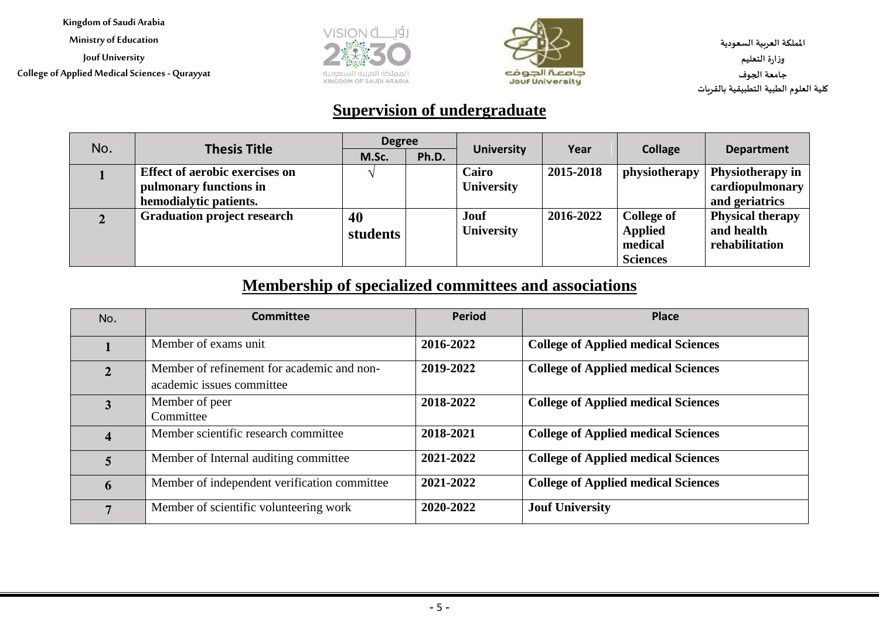**Ministry of Education**

**Jouf University**

**College of Applied Medical Sciences - Qurayyat**





**اململكة العربية السعودية وزارة التعليم جامعة الجوف كلية العلوم الطبية التطبيقية بالقريات**

#### **Supervision of undergraduate**

| No. | <b>Thesis Title</b>                   | <b>Degree</b> |       |                   |           |                   |                         |
|-----|---------------------------------------|---------------|-------|-------------------|-----------|-------------------|-------------------------|
|     |                                       | M.Sc.         | Ph.D. | <b>University</b> | Year      | <b>Collage</b>    | <b>Department</b>       |
|     | <b>Effect of aerobic exercises on</b> |               |       | Cairo             | 2015-2018 | physiotherapy     | Physiotherapy in        |
|     | pulmonary functions in                |               |       | University        |           |                   | cardiopulmonary         |
|     | hemodialytic patients.                |               |       |                   |           |                   | and geriatrics          |
|     | <b>Graduation project research</b>    | 40            |       | Jouf              | 2016-2022 | <b>College of</b> | <b>Physical therapy</b> |
|     |                                       | students      |       | <b>University</b> |           | <b>Applied</b>    | and health              |
|     |                                       |               |       |                   |           | medical           | rehabilitation          |
|     |                                       |               |       |                   |           | <b>Sciences</b>   |                         |

#### **Membership of specialized committees and associations**

| No.            | <b>Committee</b>                                                        | <b>Period</b> | <b>Place</b>                               |
|----------------|-------------------------------------------------------------------------|---------------|--------------------------------------------|
|                | Member of exams unit                                                    | 2016-2022     | <b>College of Applied medical Sciences</b> |
| $\overline{2}$ | Member of refinement for academic and non-<br>academic issues committee | 2019-2022     | <b>College of Applied medical Sciences</b> |
| 3              | Member of peer<br>Committee                                             | 2018-2022     | <b>College of Applied medical Sciences</b> |
| 4              | Member scientific research committee                                    | 2018-2021     | <b>College of Applied medical Sciences</b> |
| $\overline{5}$ | Member of Internal auditing committee                                   | 2021-2022     | <b>College of Applied medical Sciences</b> |
| 6              | Member of independent verification committee                            | 2021-2022     | <b>College of Applied medical Sciences</b> |
| 7              | Member of scientific volunteering work                                  | 2020-2022     | <b>Jouf University</b>                     |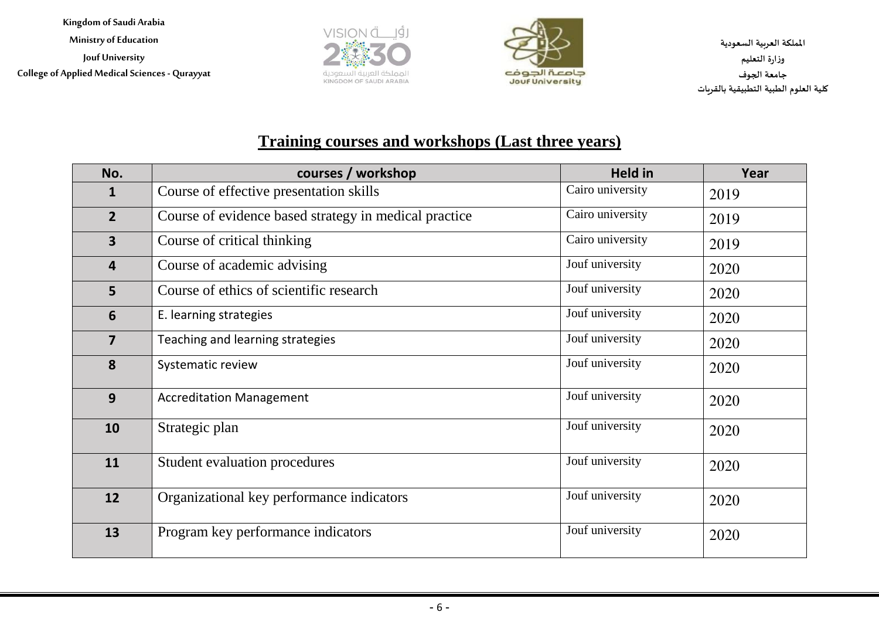**Kingdom of Saudi Arabia Ministry of Education Jouf University College of Applied Medical Sciences - Qurayyat**





**اململكة العربية السعودية وزارة التعليم جامعة الجوف كلية العلوم الطبية التطبيقية بالقريات**

#### **Training courses and workshops (Last three years)**

| No.                     | courses / workshop                                    | <b>Held in</b>   | Year |
|-------------------------|-------------------------------------------------------|------------------|------|
| $\mathbf{1}$            | Course of effective presentation skills               | Cairo university | 2019 |
| 2 <sup>1</sup>          | Course of evidence based strategy in medical practice | Cairo university | 2019 |
| $\mathbf{3}$            | Course of critical thinking                           | Cairo university | 2019 |
| 4                       | Course of academic advising                           | Jouf university  | 2020 |
| 5                       | Course of ethics of scientific research               | Jouf university  | 2020 |
| 6                       | E. learning strategies                                | Jouf university  | 2020 |
| $\overline{\mathbf{z}}$ | Teaching and learning strategies                      | Jouf university  | 2020 |
| 8                       | Systematic review                                     | Jouf university  | 2020 |
| 9                       | <b>Accreditation Management</b>                       | Jouf university  | 2020 |
| 10                      | Strategic plan                                        | Jouf university  | 2020 |
| 11                      | Student evaluation procedures                         | Jouf university  | 2020 |
| 12                      | Organizational key performance indicators             | Jouf university  | 2020 |
| 13                      | Program key performance indicators                    | Jouf university  | 2020 |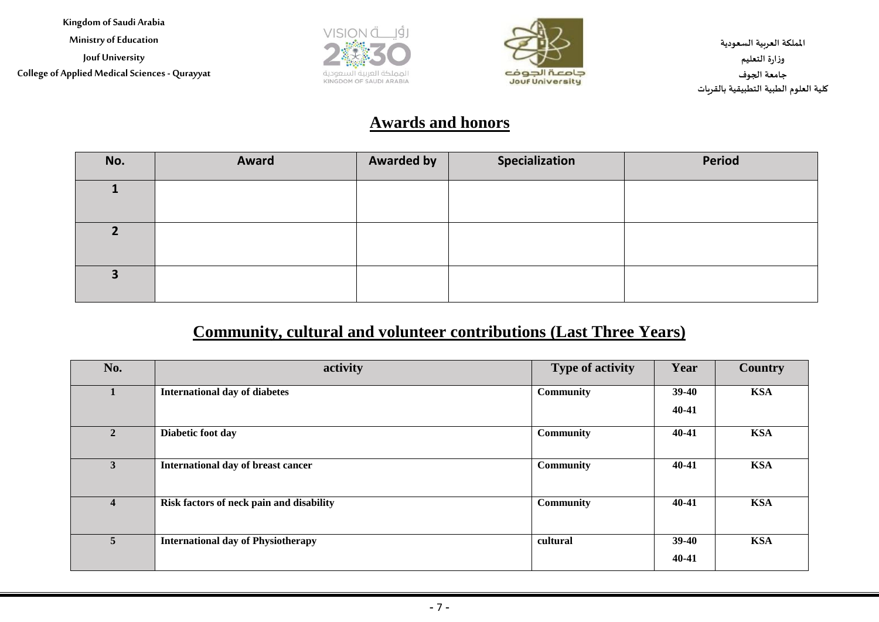**Ministry of Education**

**Jouf University**

**College of Applied Medical Sciences - Qurayyat**





**اململكة العربية السعودية وزارة التعليم جامعة الجوف كلية العلوم الطبية التطبيقية بالقريات**

#### **Awards and honors**

| No.               | Award | <b>Awarded by</b> | Specialization | <b>Period</b> |
|-------------------|-------|-------------------|----------------|---------------|
|                   |       |                   |                |               |
|                   |       |                   |                |               |
| $\mathbf{r}$<br>Э |       |                   |                |               |

## **Community, cultural and volunteer contributions (Last Three Years)**

| No.            | activity                                  | <b>Type of activity</b> | Year                 | <b>Country</b> |
|----------------|-------------------------------------------|-------------------------|----------------------|----------------|
|                | <b>International day of diabetes</b>      | <b>Community</b>        | $39-40$<br>$40 - 41$ | <b>KSA</b>     |
| $\overline{2}$ | Diabetic foot day                         | <b>Community</b>        | 40-41                | <b>KSA</b>     |
| 3 <sup>1</sup> | International day of breast cancer        | <b>Community</b>        | 40-41                | <b>KSA</b>     |
| $\overline{4}$ | Risk factors of neck pain and disability  | <b>Community</b>        | 40-41                | <b>KSA</b>     |
| 5              | <b>International day of Physiotherapy</b> | cultural                | $39-40$<br>40-41     | <b>KSA</b>     |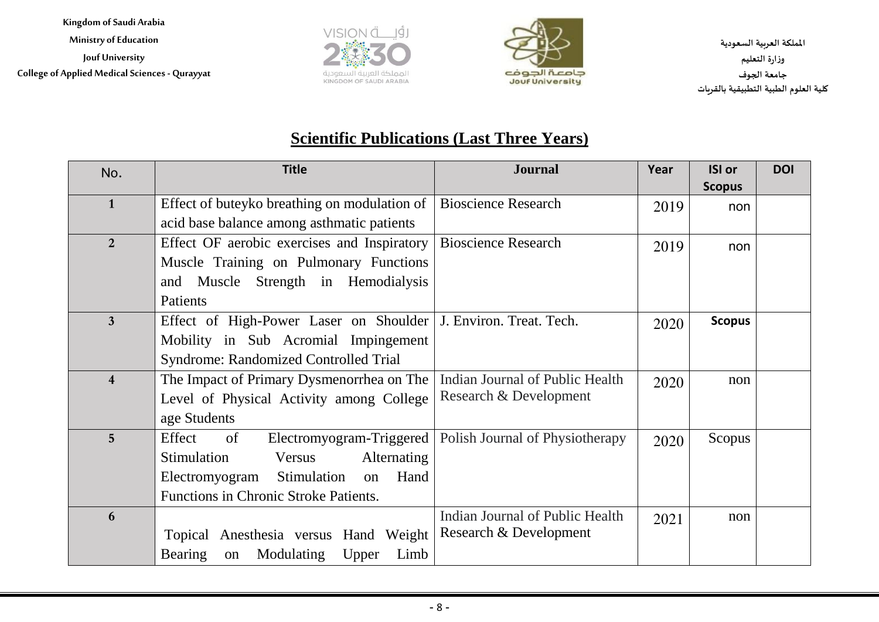**Kingdom of Saudi Arabia Ministry of Education Jouf University College of Applied Medical Sciences - Qurayyat**





**اململكة العربية السعودية وزارة التعليم جامعة الجوف كلية العلوم الطبية التطبيقية بالقريات**

#### **Scientific Publications (Last Three Years)**

| No.                     | <b>Title</b>                                                                                                                                                                        | <b>Journal</b>                                            | Year | <b>ISI or</b><br><b>Scopus</b> | <b>DOI</b> |
|-------------------------|-------------------------------------------------------------------------------------------------------------------------------------------------------------------------------------|-----------------------------------------------------------|------|--------------------------------|------------|
| $\mathbf{1}$            | Effect of buteyko breathing on modulation of<br>acid base balance among asthmatic patients                                                                                          | <b>Bioscience Research</b>                                | 2019 | non                            |            |
| $\overline{2}$          | Effect OF aerobic exercises and Inspiratory<br>Muscle Training on Pulmonary Functions<br>and Muscle Strength in Hemodialysis<br>Patients                                            | <b>Bioscience Research</b>                                | 2019 | non                            |            |
| $\overline{3}$          | Effect of High-Power Laser on Shoulder   J. Environ. Treat. Tech.<br>Mobility in Sub Acromial Impingement<br><b>Syndrome: Randomized Controlled Trial</b>                           |                                                           | 2020 | <b>Scopus</b>                  |            |
| $\overline{\mathbf{4}}$ | The Impact of Primary Dysmenorrhea on The<br>Level of Physical Activity among College<br>age Students                                                                               | Indian Journal of Public Health<br>Research & Development | 2020 | non                            |            |
| $5\overline{)}$         | of<br>Electromyogram-Triggered<br>Effect<br>Stimulation<br>Versus<br>Alternating<br>Stimulation<br>Hand<br>Electromyogram<br><sub>on</sub><br>Functions in Chronic Stroke Patients. | Polish Journal of Physiotherapy                           | 2020 | Scopus                         |            |
| 6                       | Topical Anesthesia versus Hand Weight<br>Bearing<br>on Modulating<br>Upper<br>Limb                                                                                                  | Indian Journal of Public Health<br>Research & Development | 2021 | non                            |            |